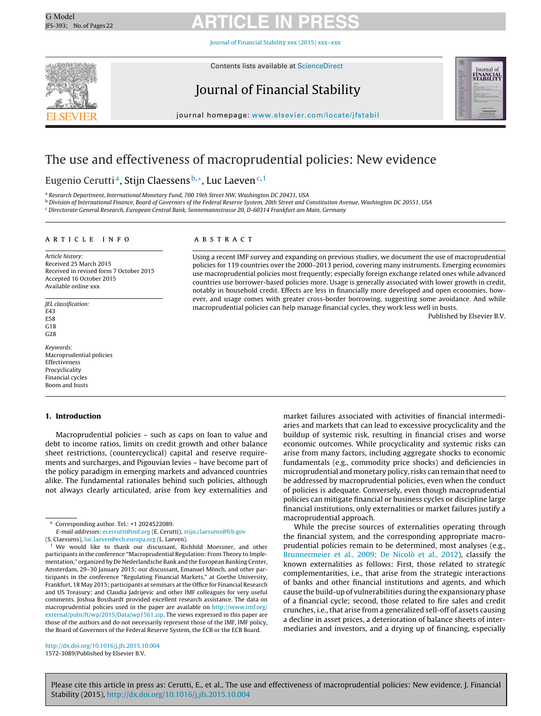# G Model G Model **ARTICLE IN PRESS**

Journal of [Financial](dx.doi.org/10.1016/j.jfs.2015.10.004) Stability xxx (2015) xxx–xxx



Contents lists available at [ScienceDirect](http://www.sciencedirect.com/science/journal/15723089)

### Journal of Financial Stability



journal homepage: [www.elsevier.com/locate/jfstabil](http://www.elsevier.com/locate/jfstabil)

### The use and effectiveness of macroprudential policies: New evidence

#### Eugenio Cerutti<sup>a</sup>, Stijn Claessens b,\*, Luc Laeven<sup>c,1</sup>

<sup>a</sup> Research Department, International Monetary Fund, 700 19th Street NW, Washington DC 20431, USA

**b Division of International Finance, Board of Governors of the Federal Reserve System, 20th Street and Constitution Avenue, Washington DC 20551, USA** 

<sup>c</sup> Directorate General Research, European Central Bank, Sonnemannstrasse 20, D-60314 Frankfurt am Main, Germany

#### ARTICLE INFO

Article history: Received 25 March 2015 Received in revised form 7 October 2015 Accepted 16 October 2015 Available online xxx

JEL classification: E<sub>43</sub> E58 G18 G28

Keywords: Macroprudential policies Effectiveness Procyclicality Financial cycles Boom and busts

#### **1. Introduction**

Macroprudential policies – such as caps on loan to value and debt to income ratios, limits on credit growth and other balance sheet restrictions, (countercyclical) capital and reserve requirements and surcharges, and Pigouvian levies – have become part of the policy paradigm in emerging markets and advanced countries alike. The fundamental rationales behind such policies, although not always clearly articulated, arise from key externalities and

[http://dx.doi.org/10.1016/j.jfs.2015.10.004](dx.doi.org/10.1016/j.jfs.2015.10.004) 1572-3089/Published by Elsevier B.V.

#### a b s t r a c t

Using a recent IMF survey and expanding on previous studies, we document the use of macroprudential policies for 119 countries over the 2000–2013 period, covering many instruments. Emerging economies use macroprudential policies most frequently; especially foreign exchange related ones while advanced countries use borrower-based policies more. Usage is generally associated with lower growth in credit, notably in household credit. Effects are less in financially more developed and open economies, however, and usage comes with greater cross-border borrowing, suggesting some avoidance. And while macroprudential policies can help manage financial cycles, they work less well in busts.

Published by Elsevier B.V.

market failures associated with activities of financial intermediaries and markets that can lead to excessive procyclicality and the buildup of systemic risk, resulting in financial crises and worse economic outcomes. While procyclicality and systemic risks can arise from many factors, including aggregate shocks to economic fundamentals (e.g., commodity price shocks) and deficiencies in microprudential and monetary policy, risks can remain that need to be addressed by macroprudential policies, even when the conduct of policies is adequate. Conversely, even though macroprudential policies can mitigate financial or business cycles or discipline large financial institutions, only externalities or market failures justify a macroprudential approach.

While the precise sources of externalities operating through the financial system, and the corresponding appropriate macroprudential policies remain to be determined, most analyses (e.g., [Brunnermeier](#page--1-0) et [al.,](#page--1-0) [2009;](#page--1-0) [De](#page--1-0) [Nicolò](#page--1-0) et [al.,](#page--1-0) [2012\),](#page--1-0) classify the known externalities as follows: First, those related to strategic complementarities, i.e., that arise from the strategic interactions of banks and other financial institutions and agents, and which cause the build-up of vulnerabilities during the expansionary phase of a financial cycle; second, those related to fire sales and credit crunches, i.e., that arise from a generalized sell-off of assets causing a decline in asset prices, a deterioration of balance sheets of intermediaries and investors, and a drying up of financing, especially

<sup>∗</sup> Corresponding author. Tel.: +1 2024522089.

E-mail addresses: [ecerrutti@imf.org](mailto:ecerrutti@imf.org) (E. Cerutti), [stijn.claessens@frb.gov](mailto:stijn.claessens@frb.gov) (S. Claessens), [luc.laeven@ecb.europa.org](mailto:luc.laeven@ecb.europa.org) (L. Laeven).

<sup>&</sup>lt;sup>1</sup> We would like to thank our discussant, Richhild Moessner, and other participants in the conference "Macroprudential Regulation: From Theory to Implementation," organized by De Nederlandsche Bank and the European Banking Center, Amsterdam, 29–30 January 2015; our discussant, Emanuel Mönch, and other participants in the conference "Regulating Financial Markets," at Goethe University, Frankfurt, 18 May 2015; participants at seminars at the Office for Financial Research and US Treasury; and Claudia Jadrijevic and other IMF colleagues for very useful comments. Joshua Bosshardt provided excellent research assistance. The data on macroprudential policies used in the paper are available on [http://www.imf.org/](http://www.imf.org/external/pubs/ft/wp/2015/Data/wp1561.zip) [external/pubs/ft/wp/2015/Data/wp1561.zip](http://www.imf.org/external/pubs/ft/wp/2015/Data/wp1561.zip). The views expressed in this paper are those of the authors and do not necessarily represent those of the IMF, IMF policy, the Board of Governors of the Federal Reserve System, the ECB or the ECB Board.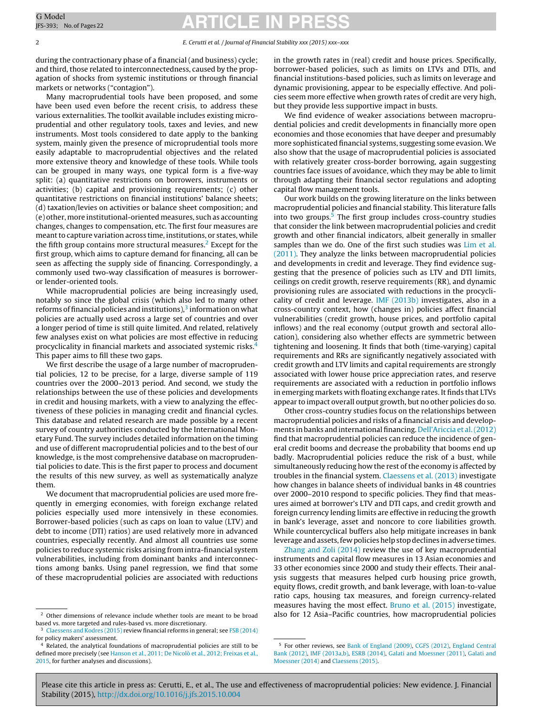# G Model G Model **ARTICLE IN PRESS**

during the contractionary phase of a financial (and business) cycle; and third, those related to interconnectedness, caused by the propagation of shocks from systemic institutions or through financial markets or networks ("contagion").

Many macroprudential tools have been proposed, and some have been used even before the recent crisis, to address these various externalities. The toolkit available includes existing microprudential and other regulatory tools, taxes and levies, and new instruments. Most tools considered to date apply to the banking system, mainly given the presence of microprudential tools more easily adaptable to macroprudential objectives and the related more extensive theory and knowledge of these tools. While tools can be grouped in many ways, one typical form is a five-way split: (a) quantitative restrictions on borrowers, instruments or activities; (b) capital and provisioning requirements; (c) other quantitative restrictions on financial institutions' balance sheets; (d) taxation/levies on activities or balance sheet composition; and (e) other, more institutional-oriented measures, such as accounting changes, changes to compensation, etc. The first four measures are meant to capture variation across time, institutions, or states, while the fifth group contains more structural measures.<sup>2</sup> Except for the first group, which aims to capture demand for financing, all can be seen as affecting the supply side of financing. Correspondingly, a commonly used two-way classification of measures is borroweror lender-oriented tools.

While macroprudential policies are being increasingly used, notably so since the global crisis (which also led to many other reforms of financial policies and institutions), $3$  information on what policies are actually used across a large set of countries and over a longer period of time is still quite limited. And related, relatively few analyses exist on what policies are most effective in reducing procyclicality in financial markets and associated systemic risks.4 This paper aims to fill these two gaps.

We first describe the usage of a large number of macroprudential policies, 12 to be precise, for a large, diverse sample of 119 countries over the 2000–2013 period. And second, we study the relationships between the use of these policies and developments in credit and housing markets, with a view to analyzing the effectiveness of these policies in managing credit and financial cycles. This database and related research are made possible by a recent survey of country authorities conducted by the International Monetary Fund. The survey includes detailed information on the timing and use of different macroprudential policies and to the best of our knowledge, is the most comprehensive database on macroprudential policies to date. This is the first paper to process and document the results of this new survey, as well as systematically analyze them.

We document that macroprudential policies are used more frequently in emerging economies, with foreign exchange related policies especially used more intensively in these economies. Borrower-based policies (such as caps on loan to value (LTV) and debt to income (DTI) ratios) are used relatively more in advanced countries, especially recently. And almost all countries use some policies to reduce systemic risks arising from intra-financial system vulnerabilities, including from dominant banks and interconnections among banks. Using panel regression, we find that some of these macroprudential policies are associated with reductions

in the growth rates in (real) credit and house prices. Specifically, borrower-based policies, such as limits on LTVs and DTIs, and financial institutions-based policies, such as limits on leverage and dynamic provisioning, appear to be especially effective. And policies seem more effective when growth rates of credit are very high, but they provide less supportive impact in busts.

We find evidence of weaker associations between macroprudential policies and credit developments in financially more open economies and those economies that have deeper and presumably more sophisticated financial systems, suggesting some evasion.We also show that the usage of macroprudential policies is associated with relatively greater cross-border borrowing, again suggesting countries face issues of avoidance, which they may be able to limit through adapting their financial sector regulations and adopting capital flow management tools.

Our work builds on the growing literature on the links between macroprudential policies and financial stability. This literature falls into two groups.<sup>5</sup> The first group includes cross-country studies that consider the link between macroprudential policies and credit growth and other financial indicators, albeit generally in smaller samples than we do. One of the first such studies was [Lim](#page--1-0) et [al.](#page--1-0) [\(2011\).](#page--1-0) They analyze the links between macroprudential policies and developments in credit and leverage. They find evidence suggesting that the presence of policies such as LTV and DTI limits, ceilings on credit growth, reserve requirements (RR), and dynamic provisioning rules are associated with reductions in the procyclicality of credit and leverage. [IMF](#page--1-0) [\(2013b\)](#page--1-0) investigates, also in a cross-country context, how (changes in) policies affect financial vulnerabilities (credit growth, house prices, and portfolio capital inflows) and the real economy (output growth and sectoral allocation), considering also whether effects are symmetric between tightening and loosening. It finds that both (time-varying) capital requirements and RRs are significantly negatively associated with credit growth and LTV limits and capital requirements are strongly associated with lower house price appreciation rates, and reserve requirements are associated with a reduction in portfolio inflows in emerging markets with floating exchange rates. It finds that LTVs appear to impact overall output growth, but no other policies do so.

Other cross-country studies focus on the relationships between macroprudential policies and risks of a financial crisis and develop-ments in banks and international financing. [Dell'Ariccia](#page--1-0) et al. (2012) find that macroprudential policies can reduce the incidence of general credit booms and decrease the probability that booms end up badly. Macroprudential policies reduce the risk of a bust, while simultaneously reducing how the rest of the economy is affected by troubles in the financial system. [Claessens](#page--1-0) et [al.](#page--1-0) [\(2013\)](#page--1-0) investigate how changes in balance sheets of individual banks in 48 countries over 2000–2010 respond to specific policies. They find that measures aimed at borrower's LTV and DTI caps, and credit growth and foreign currency lending limits are effective in reducing the growth in bank's leverage, asset and noncore to core liabilities growth. While countercyclical buffers also help mitigate increases in bank leverage and assets, few policies help stop declines in adverse times.

[Zhang](#page--1-0) [and](#page--1-0) [Zoli](#page--1-0) [\(2014\)](#page--1-0) review the use of key macroprudential instruments and capital flow measures in 13 Asian economies and 33 other economies since 2000 and study their effects. Their analysis suggests that measures helped curb housing price growth, equity flows, credit growth, and bank leverage, with loan-to-value ratio caps, housing tax measures, and foreign currency-related measures having the most effect. [Bruno](#page--1-0) et [al.](#page--1-0) [\(2015\)](#page--1-0) investigate, also for 12 Asia–Pacific countries, how macroprudential policies

Please cite this article in press as: Cerutti, E., et al., The use and effectiveness of macroprudential policies: New evidence. J. Financial Stability (2015), [http://dx.doi.org/10.1016/j.jfs.2015.10.004](dx.doi.org/10.1016/j.jfs.2015.10.004)

<sup>&</sup>lt;sup>2</sup> Other dimensions of relevance include whether tools are meant to be broad based vs. more targeted and rules-based vs. more discretionary.

<sup>&</sup>lt;sup>3</sup> [Claessens](#page--1-0) [and](#page--1-0) [Kodres](#page--1-0) [\(2015\)](#page--1-0) review financial reforms in general; see [FSB](#page--1-0) [\(2014\)](#page--1-0) for policy makers' assessment.

<sup>&</sup>lt;sup>4</sup> Related, the analytical foundations of macroprudential policies are still to be defined more precisely (see [Hanson](#page--1-0) et [al.,](#page--1-0) [2011;](#page--1-0) [De](#page--1-0) [Nicolò](#page--1-0) et [al.,](#page--1-0) [2012;](#page--1-0) [Freixas](#page--1-0) et [al.,](#page--1-0) [2015,](#page--1-0) for further analyses and discussions).

<sup>5</sup> For other reviews, see [Bank](#page--1-0) [of](#page--1-0) [England](#page--1-0) [\(2009\),](#page--1-0) [CGFS](#page--1-0) [\(2012\),](#page--1-0) [England](#page--1-0) [Central](#page--1-0) [Bank](#page--1-0) [\(2012\),](#page--1-0) [IMF](#page--1-0) [\(2013a,b\),](#page--1-0) [ESRB](#page--1-0) [\(2014\),](#page--1-0) [Galati](#page--1-0) [and](#page--1-0) [Moessner](#page--1-0) [\(2011\),](#page--1-0) [Galati](#page--1-0) [and](#page--1-0) [Moessner](#page--1-0) [\(2014\)](#page--1-0) and [Claessens](#page--1-0) [\(2015\).](#page--1-0)